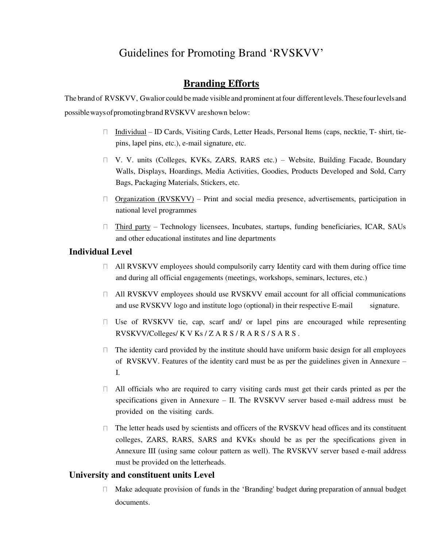# Guidelines for Promoting Brand 'RVSKVV'

## **Branding Efforts**

The brand of RVSKVV, Gwalior could be made visible and prominent at four different levels. These four levels and possible ways of promoting brand RVSKVV are shown below:

- □ Individual ID Cards, Visiting Cards, Letter Heads, Personal Items (caps, necktie, T- shirt, tiepins, lapel pins, etc.), e-mail signature, etc.
- V. V. units (Colleges, KVKs, ZARS, RARS etc.) Website, Building Facade, Boundary Walls, Displays, Hoardings, Media Activities, Goodies, Products Developed and Sold, Carry Bags, Packaging Materials, Stickers, etc.
- $\Box$  Organization (RVSKVV) Print and social media presence, advertisements, participation in national level programmes
- $\Box$  Third party Technology licensees, Incubates, startups, funding beneficiaries, ICAR, SAUs and other educational institutes and line departments

## **Individual Level**

- $\Box$  All RVSKVV employees should compulsorily carry Identity card with them during office time and during all official engagements (meetings, workshops, seminars, lectures, etc.)
- All RVSKVV employees should use RVSKVV email account for all official communications and use RVSKVV logo and institute logo (optional) in their respective E-mail signature.
- $\Box$  Use of RVSKVV tie, cap, scarf and/ or lapel pins are encouraged while representing RVSKVV/Colleges/ K V Ks / Z A R S / R A R S / S A R S .
- $\Box$  The identity card provided by the institute should have uniform basic design for all employees of RVSKVV. Features of the identity card must be as per the guidelines given in Annexure – I.
- All officials who are required to carry visiting cards must get their cards printed as per the specifications given in Annexure – II. The RVSKVV server based e-mail address must be provided on the visiting cards.
- The letter heads used by scientists and officers of the RVSKVV head offices and its constituent colleges, ZARS, RARS, SARS and KVKs should be as per the specifications given in Annexure III (using same colour pattern as well). The RVSKVV server based e-mail address must be provided on the letterheads.

#### **University and constituent units Level**

Make adequate provision of funds in the 'Branding' budget during preparation of annual budget  $\Box$ documents.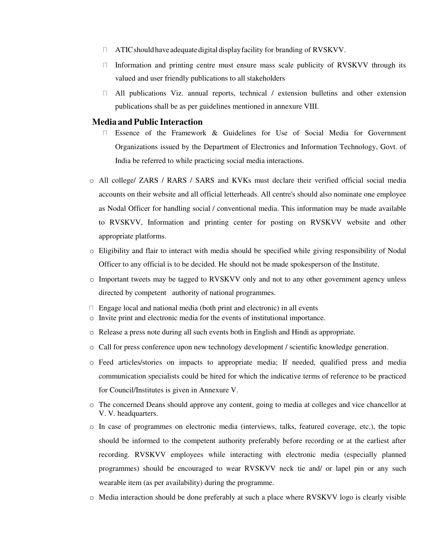- ATIC should have adequate digital display facility for branding of RVSKVV.  $\Box$
- $\Box$  Information and printing centre must ensure mass scale publicity of RVSKVV through its valued and user friendly publications to all stakeholders
- $\Box$  All publications Viz. annual reports, technical / extension bulletins and other extension publications shall be as per guidelines mentioned in annexure VIII.

#### **Media and Public Interaction**

- Essence of the Framework & Guidelines for Use of Social Media for Government  $\Box$ Organizations issued by the Department of Electronics and Information Technology, Govt. of India be referred to while practicing social media interactions.
- o All college/ ZARS / RARS / SARS and KVKs must declare their verified official social media accounts on their website and all official letterheads. All centre's should also nominate one employee as Nodal Officer for handling social / conventional media. This information may be made available to RVSKVV, Information and printing center for posting on RVSKVV website and other appropriate platforms.
- o Eligibility and flair to interact with media should be specified while giving responsibility of Nodal Officer to any official is to be decided. He should not be made spokesperson of the Institute.
- o Important tweets may be tagged to RVSKVV only and not to any other government agency unless directed by competent authority of national programmes.
- $\Box$  Engage local and national media (both print and electronic) in all events
- o Invite print and electronic media for the events of institutional importance.
- o Release a press note during all such events both in English and Hindi as appropriate.
- o Call for press conference upon new technology development / scientific knowledge generation.
- o Feed articles/stories on impacts to appropriate media; If needed, qualified press and media communication specialists could be hired for which the indicative terms of reference to be practiced for Council/Institutes is given in Annexure V.
- o The concerned Deans should approve any content, going to media at colleges and vice chancellor at V. V. headquarters.
- o In case of programmes on electronic media (interviews, talks, featured coverage, etc.), the topic should be informed to the competent authority preferably before recording or at the earliest after recording. RVSKVV employees while interacting with electronic media (especially planned programmes) should be encouraged to wear RVSKVV neck tie and/ or lapel pin or any such wearable item (as per availability) during the programme.
- o Media interaction should be done preferably at such a place where RVSKVV logo is clearly visible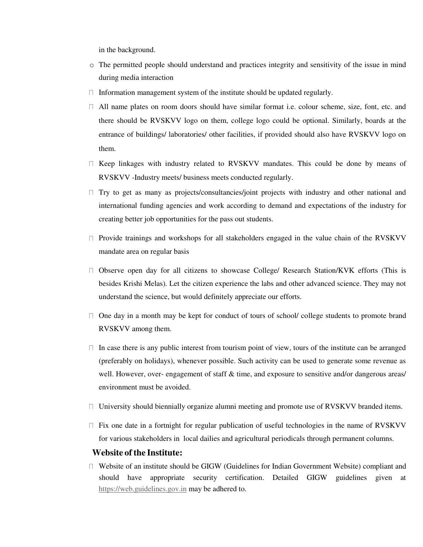in the background.

- o The permitted people should understand and practices integrity and sensitivity of the issue in mind during media interaction
- $\Box$  Information management system of the institute should be updated regularly.
- $\Box$  All name plates on room doors should have similar format i.e. colour scheme, size, font, etc. and there should be RVSKVV logo on them, college logo could be optional. Similarly, boards at the entrance of buildings/ laboratories/ other facilities, if provided should also have RVSKVV logo on them.
- $\Box$  Keep linkages with industry related to RVSKVV mandates. This could be done by means of RVSKVV -Industry meets/ business meets conducted regularly.
- $\Box$  Try to get as many as projects/consultancies/joint projects with industry and other national and international funding agencies and work according to demand and expectations of the industry for creating better job opportunities for the pass out students.
- $\Box$  Provide trainings and workshops for all stakeholders engaged in the value chain of the RVSKVV mandate area on regular basis
- $\Box$  Observe open day for all citizens to showcase College/ Research Station/KVK efforts (This is besides Krishi Melas). Let the citizen experience the labs and other advanced science. They may not understand the science, but would definitely appreciate our efforts.
- $\Box$  One day in a month may be kept for conduct of tours of school/ college students to promote brand RVSKVV among them.
- $\Box$  In case there is any public interest from tourism point of view, tours of the institute can be arranged (preferably on holidays), whenever possible. Such activity can be used to generate some revenue as well. However, over- engagement of staff & time, and exposure to sensitive and/or dangerous areas/ environment must be avoided.
- $\Box$  University should biennially organize alumni meeting and promote use of RVSKVV branded items.
- $\Box$  Fix one date in a fortnight for regular publication of useful technologies in the name of RVSKVV for various stakeholders in local dailies and agricultural periodicals through permanent columns.

#### **Website of the Institute:**

Website of an institute should be GIGW (Guidelines for Indian Government Website) compliant and should have appropriate security certification. Detailed GIGW guidelines given at [https://web.guidelines.gov.in](https://web.guidelines.gov.in/) may be adhered to.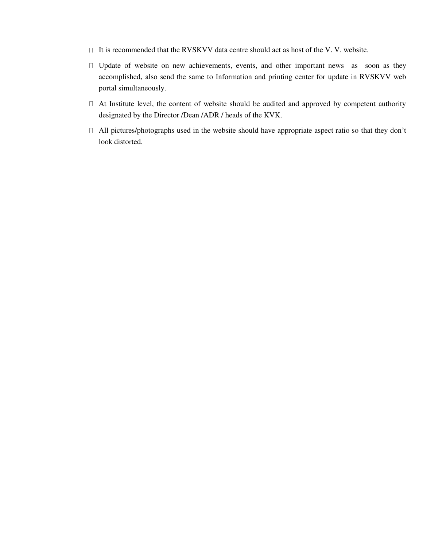- $\Box$  It is recommended that the RVSKVV data centre should act as host of the V.V. website.
- $\Box$  Update of website on new achievements, events, and other important news as soon as they accomplished, also send the same to Information and printing center for update in RVSKVV web portal simultaneously.
- $\Box$  At Institute level, the content of website should be audited and approved by competent authority designated by the Director /Dean /ADR / heads of the KVK.
- All pictures/photographs used in the website should have appropriate aspect ratio so that they don't look distorted.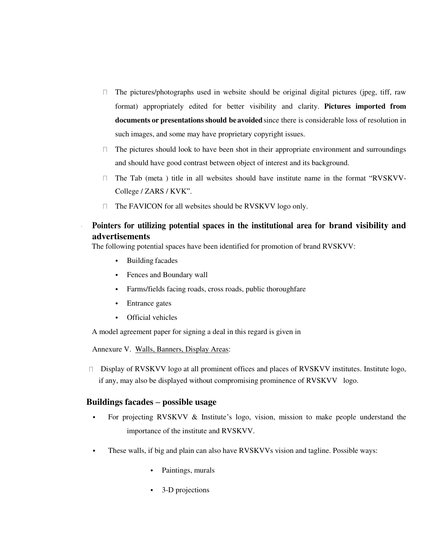- $\Box$ The pictures/photographs used in website should be original digital pictures (jpeg, tiff, raw format) appropriately edited for better visibility and clarity. **Pictures imported from documents or presentations should be avoided** since there is considerable loss of resolution in such images, and some may have proprietary copyright issues.
- $\Box$  The pictures should look to have been shot in their appropriate environment and surroundings and should have good contrast between object of interest and its background.
- $\Box$  The Tab (meta) title in all websites should have institute name in the format "RVSKVV-College / ZARS / KVK".
- $\Box$ The FAVICON for all websites should be RVSKVV logo only.

## **Pointers for utilizing potential spaces in the institutional area for brand visibility and advertisements**

The following potential spaces have been identified for promotion of brand RVSKVV:

- Building facades
- Fences and Boundary wall
- Farms/fields facing roads, cross roads, public thoroughfare
- Entrance gates
- Official vehicles

A model agreement paper for signing a deal in this regard is given in

Annexure V. Walls, Banners, Display Areas:

 $\Box$  Display of RVSKVV logo at all prominent offices and places of RVSKVV institutes. Institute logo, if any, may also be displayed without compromising prominence of RVSKVV logo.

#### **Buildings facades – possible usage**

- For projecting RVSKVV & Institute's logo, vision, mission to make people understand the importance of the institute and RVSKVV.
- These walls, if big and plain can also have RVSKVVs vision and tagline. Possible ways:
	- Paintings, murals
	- 3-D projections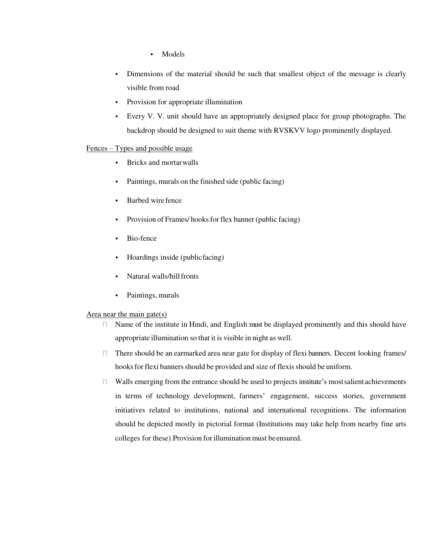- Models
- Dimensions of the material should be such that smallest object of the message is clearly visible from road
- Provision for appropriate illumination
- Every V. V. unit should have an appropriately designed place for group photographs. The backdrop should be designed to suit theme with RVSKVV logo prominently displayed.

#### Fences – Types and possible usage

- Bricks and mortar walls
- Paintings, murals on the finished side (public facing)
- Barbed wire fence
- Provision of Frames/ hooks for flex banner (public facing)
- Bio-fence
- Hoardings inside (public facing)
- Natural walls/hill fronts
- Paintings, murals

#### Area near the main gate(s)

- Name of the institute in Hindi, and English must be displayed prominently and this should have  $\Box$ appropriate illumination so that it is visible in night as well.
- $\Box$  There should be an earmarked area near gate for display of flexi banners. Decent looking frames/ hooks for flexi banners should be provided and size of flexis should be uniform.
- $\Box$  Walls emerging from the entrance should be used to projects institute's most salient achievements in terms of technology development, farmers' engagement, success stories, government initiatives related to institutions, national and international recognitions. The information should be depicted mostly in pictorial format (Institutions may take help from nearby fine arts colleges for these).Provision for illumination must be ensured.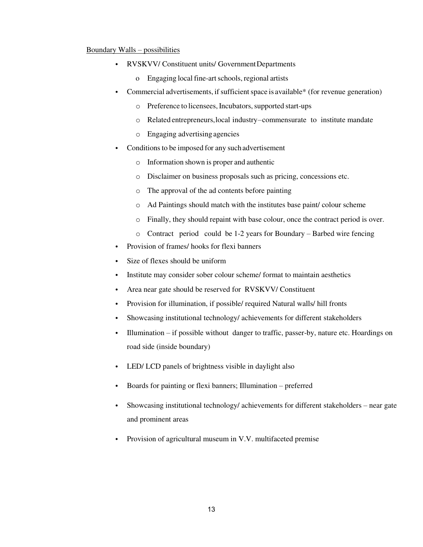#### Boundary Walls – possibilities

- RVSKVV/ Constituent units/ Government Departments
	- o Engaging local fine-art schools, regional artists
- Commercial advertisements, if sufficient space is available\* (for revenue generation)
	- o Preference to licensees, Incubators, supported start-ups
	- o Related entrepreneurs, local industry commensurate to institute mandate
	- o Engaging advertising agencies
- Conditions to be imposed for any such advertisement
	- o Information shown is proper and authentic
	- o Disclaimer on business proposals such as pricing, concessions etc.
	- o The approval of the ad contents before painting
	- o Ad Paintings should match with the institutes base paint/ colour scheme
	- o Finally, they should repaint with base colour, once the contract period is over.
	- o Contract period could be 1-2 years for Boundary Barbed wire fencing
- Provision of frames/ hooks for flexi banners
- Size of flexes should be uniform
- Institute may consider sober colour scheme/ format to maintain aesthetics
- Area near gate should be reserved for RVSKVV/ Constituent
- Provision for illumination, if possible/ required Natural walls/ hill fronts
- Showcasing institutional technology/ achievements for different stakeholders
- Illumination if possible without danger to traffic, passer-by, nature etc. Hoardings on road side (inside boundary)
- LED/ LCD panels of brightness visible in daylight also
- Boards for painting or flexi banners; Illumination preferred
- Showcasing institutional technology/ achievements for different stakeholders near gate and prominent areas
- Provision of agricultural museum in V.V. multifaceted premise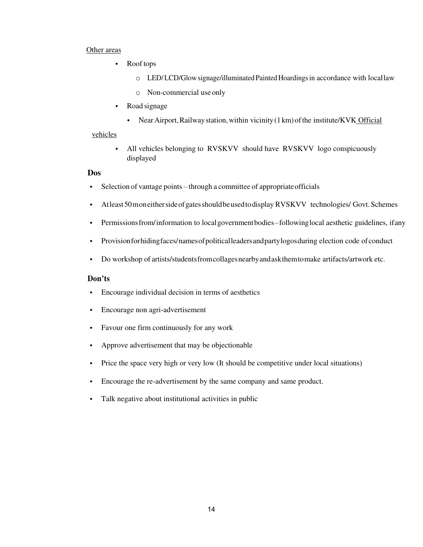#### Other areas

- Roof tops
	- $\circ$  LED/LCD/Glow signage/illuminated Painted Hoardings in accordance with local law
	- o Non-commercial use only
- Road signage
	- Near Airport, Railway station, within vicinity (1 km) of the institute/KVK Official

#### vehicles

• All vehicles belonging to RVSKVV should have RVSKVV logo conspicuously displayed

#### **Dos**

- Selection of vantage points through a committee of appropriate officials
- At least 50 m on either side of gates should be used to display RVSKVV technologies/ Govt. Schemes
- Permissions from/information to local government bodies following local aesthetic guidelines, if any
- Provision for hiding faces/ names of political leaders and party logos during election code of conduct
- Do workshop of artists/students from collages nearby and ask them to make artifacts/artwork etc.

#### **Don'ts**

- Encourage individual decision in terms of aesthetics
- Encourage non agri-advertisement
- Favour one firm continuously for any work
- Approve advertisement that may be objectionable
- Price the space very high or very low (It should be competitive under local situations)
- Encourage the re-advertisement by the same company and same product.
- Talk negative about institutional activities in public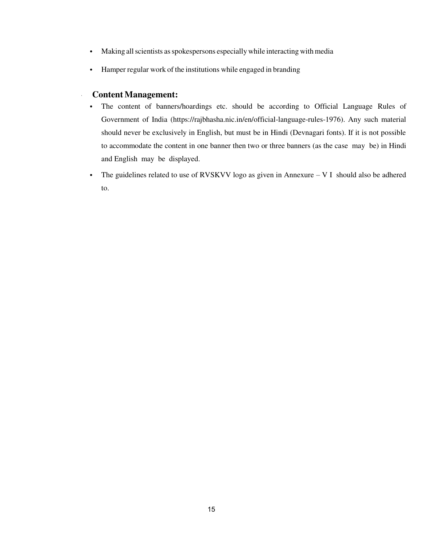- Making all scientists as spokespersons especially while interacting with media
- Hamper regular work of the institutions while engaged in branding

#### **Content Management:**

- The content of banners/hoardings etc. should be according to Official Language Rules of Government of India (https://rajbhasha.nic.in/en/official-language-rules-1976). Any such material should never be exclusively in English, but must be in Hindi (Devnagari fonts). If it is not possible to accommodate the content in one banner then two or three banners (as the case may be) in Hindi and English may be displayed.
- The guidelines related to use of RVSKVV logo as given in Annexure V I should also be adhered to.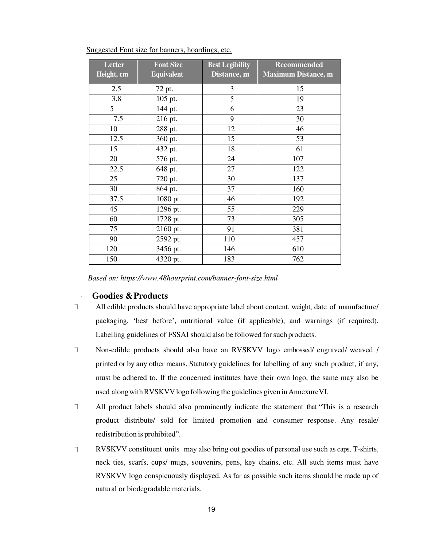| Letter     | <b>Font Size</b>  | <b>Best Legibility</b> | <b>Recommended</b>         |
|------------|-------------------|------------------------|----------------------------|
| Height, cm | <b>Equivalent</b> | Distance, m            | <b>Maximum Distance, m</b> |
| 2.5        | 72 pt.            | 3                      | 15                         |
| 3.8        | 105 pt.           | 5                      | 19                         |
| 5          | 144 pt.           | 6                      | 23                         |
| 7.5        | 216 pt.           | 9                      | 30                         |
| 10         | 288 pt.           | 12                     | 46                         |
| 12.5       | 360 pt.           | 15                     | 53                         |
| 15         | 432 pt.           | 18                     | 61                         |
| 20         | 576 pt.           | 24                     | 107                        |
| 22.5       | 648 pt.           | 27                     | 122                        |
| 25         | 720 pt.           | 30                     | 137                        |
| 30         | 864 pt.           | 37                     | 160                        |
| 37.5       | 1080 pt.          | 46                     | 192                        |
| 45         | 1296 pt.          | 55                     | 229                        |
| 60         | 1728 pt.          | 73                     | 305                        |
| 75         | 2160 pt.          | 91                     | 381                        |
| 90         | 2592 pt.          | 110                    | 457                        |
| 120        | 3456 pt.          | 146                    | 610                        |
| 150        | 4320 pt.          | 183                    | 762                        |

Suggested Font size for banners, hoardings, etc.

*Based on: https:/[/www.48hourprint.com/banner-font-size.html](http://www.48hourprint.com/banner-font-size.html)* 

#### **Goodies & Products**

- T. All edible products should have appropriate label about content, weight, date of manufacture/ packaging, 'best before', nutritional value (if applicable), and warnings (if required). Labelling guidelines of FSSAI should also be followed for such products.
- $\top$ Non-edible products should also have an RVSKVV logo embossed/ engraved/ weaved / printed or by any other means. Statutory guidelines for labelling of any such product, if any, must be adhered to. If the concerned institutes have their own logo, the same may also be used along with RVSKVV logo following the guidelines given in Annexure VI.
- $\overline{\phantom{a}}$ All product labels should also prominently indicate the statement that "This is a research product distribute/ sold for limited promotion and consumer response. Any resale/ redistribution is prohibited".
- RVSKVV constituent units may also bring out goodies of personal use such as caps, T-shirts,  $\top$ neck ties, scarfs, cups/ mugs, souvenirs, pens, key chains, etc. All such items must have RVSKVV logo conspicuously displayed. As far as possible such items should be made up of natural or biodegradable materials.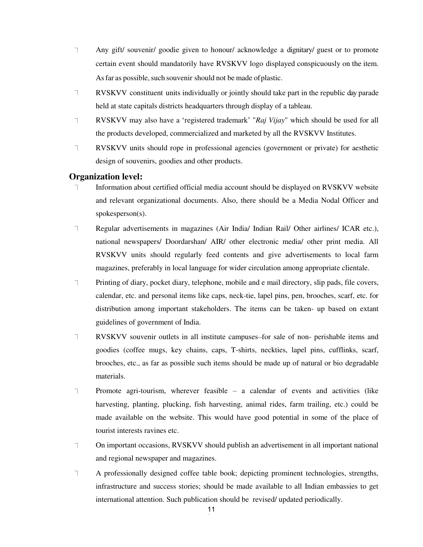- $\top$ Any gift/ souvenir/ goodie given to honour/ acknowledge a dignitary/ guest or to promote certain event should mandatorily have RVSKVV logo displayed conspicuously on the item. As far as possible, such souvenir should not be made of plastic.
- $\top$ RVSKVV constituent units individually or jointly should take part in the republic day parade held at state capitals districts headquarters through display of a tableau.
- RVSKVV may also have a 'registered trademark' "*Raj Vijay*" which should be used for all T. the products developed, commercialized and marketed by all the RVSKVV Institutes.
- $\top$ RVSKVV units should rope in professional agencies (government or private) for aesthetic design of souvenirs, goodies and other products.

#### **Organization level:**

- Information about certified official media account should be displayed on RVSKVV website  $\top$ and relevant organizational documents. Also, there should be a Media Nodal Officer and spokesperson(s).
- $\top$ Regular advertisements in magazines (Air India/ Indian Rail/ Other airlines/ ICAR etc.), national newspapers/ Doordarshan/ AIR/ other electronic media/ other print media. All RVSKVV units should regularly feed contents and give advertisements to local farm magazines, preferably in local language for wider circulation among appropriate clientale.
- $\top$ Printing of diary, pocket diary, telephone, mobile and e mail directory, slip pads, file covers, calendar, etc. and personal items like caps, neck-tie, lapel pins, pen, brooches, scarf, etc. for distribution among important stakeholders. The items can be taken- up based on extant guidelines of government of India.
- $\top$ RVSKVV souvenir outlets in all institute campuses–for sale of non- perishable items and goodies (coffee mugs, key chains, caps, T-shirts, neckties, lapel pins, cufflinks, scarf, brooches, etc., as far as possible such items should be made up of natural or bio degradable materials.
- $\top$ Promote agri-tourism, wherever feasible – a calendar of events and activities (like harvesting, planting, plucking, fish harvesting, animal rides, farm trailing, etc.) could be made available on the website. This would have good potential in some of the place of tourist interests ravines etc.
- On important occasions, RVSKVV should publish an advertisement in all important national F. and regional newspaper and magazines.
- $\top$ A professionally designed coffee table book; depicting prominent technologies, strengths, infrastructure and success stories; should be made available to all Indian embassies to get international attention. Such publication should be revised/ updated periodically.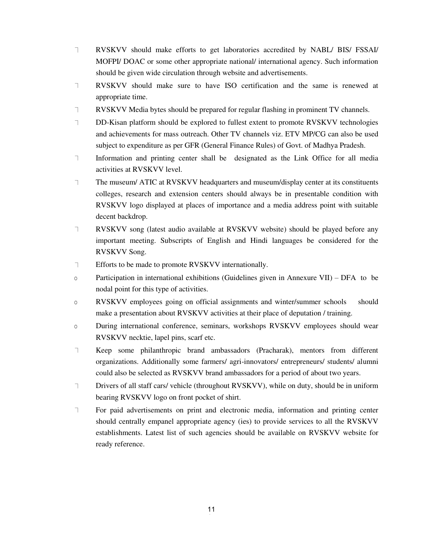- $\top$ RVSKVV should make efforts to get laboratories accredited by NABL/ BIS/ FSSAI/ MOFPI/ DOAC or some other appropriate national/ international agency. Such information should be given wide circulation through website and advertisements.
- $\top$ RVSKVV should make sure to have ISO certification and the same is renewed at appropriate time.
- $\top$ RVSKVV Media bytes should be prepared for regular flashing in prominent TV channels.
- $\top$ DD-Kisan platform should be explored to fullest extent to promote RVSKVV technologies and achievements for mass outreach. Other TV channels viz. ETV MP/CG can also be used subject to expenditure as per GFR (General Finance Rules) of Govt. of Madhya Pradesh.
- Information and printing center shall be designated as the Link Office for all media  $\top$ activities at RVSKVV level.
- $\top$ The museum/ ATIC at RVSKVV headquarters and museum/display center at its constituents colleges, research and extension centers should always be in presentable condition with RVSKVV logo displayed at places of importance and a media address point with suitable decent backdrop.
- $\top$ RVSKVV song (latest audio available at RVSKVV website) should be played before any important meeting. Subscripts of English and Hindi languages be considered for the RVSKVV Song.
- $\top$ Efforts to be made to promote RVSKVV internationally.
- o Participation in international exhibitions (Guidelines given in Annexure VII) DFA to be nodal point for this type of activities.
- o RVSKVV employees going on official assignments and winter/summer schools should make a presentation about RVSKVV activities at their place of deputation / training.
- o During international conference, seminars, workshops RVSKVV employees should wear RVSKVV necktie, lapel pins, scarf etc.
- $\top$ Keep some philanthropic brand ambassadors (Pracharak), mentors from different organizations. Additionally some farmers/ agri-innovators/ entrepreneurs/ students/ alumni could also be selected as RVSKVV brand ambassadors for a period of about two years.
- $\top$ Drivers of all staff cars/ vehicle (throughout RVSKVV), while on duty, should be in uniform bearing RVSKVV logo on front pocket of shirt.
- $\top$ For paid advertisements on print and electronic media, information and printing center should centrally empanel appropriate agency (ies) to provide services to all the RVSKVV establishments. Latest list of such agencies should be available on RVSKVV website for ready reference.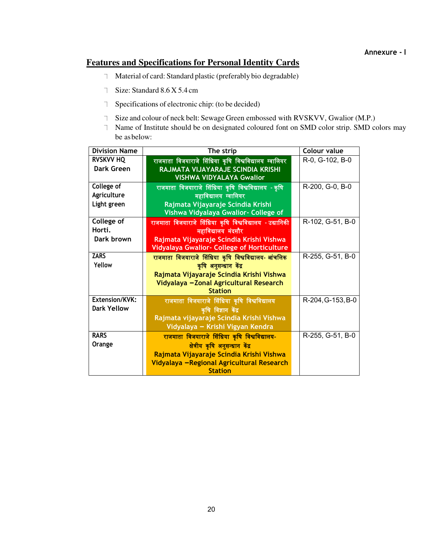#### **Annexure - I**

## **Features and Specifications for Personal Identity Cards**

- Material of card: Standard plastic (preferably bio degradable)
- Size: Standard 8.6 X 5.4 cm
- Specifications of electronic chip: (to be decided)
- Size and colour of neck belt: Sewage Green embossed with RVSKVV, Gwalior (M.P.)
- Name of Institute should be on designated coloured font on SMD color strip. SMD colors may be as below:

| <b>Division Name</b> | The strip                                                | Colour value      |
|----------------------|----------------------------------------------------------|-------------------|
| <b>RVSKVV HQ</b>     | राजमाता विजयाराजे सिंधिया कृषि विश्वविद्यालय ग्वालियर    | R-0, G-102, B-0   |
| Dark Green           | RAJMATA VIJAYARAJE SCINDIA KRISHI                        |                   |
|                      | <b>VISHWA VIDYALAYA Gwalior</b>                          |                   |
| College of           | राजमाता विजयाराजे सिंधिया कृषि विश्वविद्यालय - कृषि      | R-200, G-0, B-0   |
| Agriculture          | महाविद्यालय ग्वालियर                                     |                   |
| Light green          | Rajmata Vijayaraje Scindia Krishi                        |                   |
|                      | Vishwa Vidyalaya Gwalior- College of                     |                   |
| College of           | राजमाता विजयाराजे सिंधिया कृषि विश्वविद्यालय - उद्यानिकी | R-102, G-51, B-0  |
| Horti.               | महाविद्यालय मंदसौर                                       |                   |
| Dark brown           | Rajmata Vijayaraje Scindia Krishi Vishwa                 |                   |
|                      | <b>Vidyalaya Gwalior- College of Horticulture</b>        |                   |
| <b>ZARS</b>          | राजमाता विजयाराजे सिंधिया कृषि विश्वविद्यालय- आंचलिक     | R-255, G-51, B-0  |
| Yellow               | कृषि अनुसन्धान केंद्र                                    |                   |
|                      | Rajmata Vijayaraje Scindia Krishi Vishwa                 |                   |
|                      | Vidyalaya - Zonal Agricultural Research                  |                   |
|                      | <b>Station</b>                                           |                   |
| Extension/KVK:       | राजमाता विजयाराजे सिंधिया कृषि विश्वविद्यालय             | R-204, G-153, B-0 |
| <b>Dark Yellow</b>   | कृषि विज्ञान केंद्र                                      |                   |
|                      | Rajmata vijayaraje Scindia Krishi Vishwa                 |                   |
|                      | Vidyalaya - Krishi Vigyan Kendra                         |                   |
| <b>RARS</b>          | राजमाता विजयाराजे सिंधिया कृषि विश्वविद्यालय-            | R-255, G-51, B-0  |
| Orange               | क्षेत्रीय कृषि अनुसन्धान केंद्र                          |                   |
|                      | Rajmata Vijayaraje Scindia Krishi Vishwa                 |                   |
|                      | Vidyalaya - Regional Agricultural Research               |                   |
|                      | <b>Station</b>                                           |                   |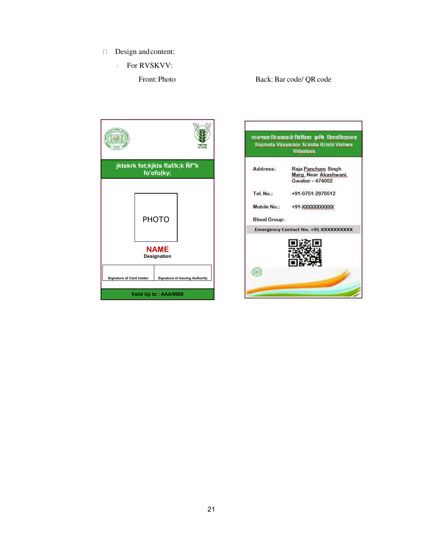- Design and content:
	- For RVSKVV:

#### Front: Photo Back: Bar code/ QR code



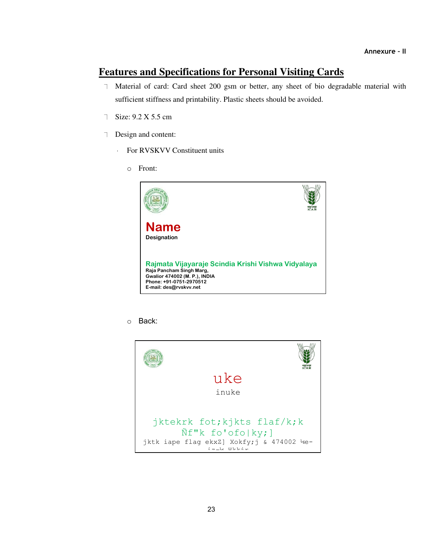## **Features and Specifications for Personal Visiting Cards**

- 7 Material of card: Card sheet 200 gsm or better, any sheet of bio degradable material with sufficient stiffness and printability. Plastic sheets should be avoided.
- Size: 9.2 X 5.5 cm
- Design and content:
	- For RVSKVV Constituent units  $\ddot{\phantom{0}}$ 
		- o Front:



o Back:

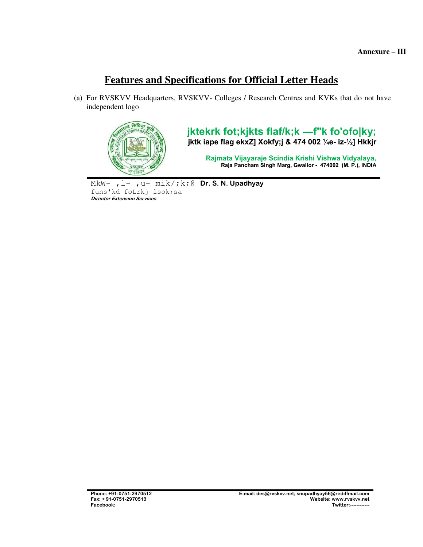# **Features and Specifications for Official Letter Heads**

(a) For RVSKVV Headquarters, RVSKVV- Colleges / Research Centres and KVKs that do not have independent logo



**jktekrk fot;kjkts flaf/k;k —f"k fo'ofo|ky; jktk iape flag ekxZ] Xokfy;j & 474 002 ¼e- iz-½] Hkkjr** 

**Rajmata Vijayaraje Scindia Krishi Vishwa Vidyalaya, Raja Pancham Singh Marg, Gwalior - 474002 (M. P.), INDIA** 

MkW- ,l- ,u- mik/;k;@ **Dr. S. N. Upadhyay**  funs'kd foLrkj lsok;sa **Director Extension Services**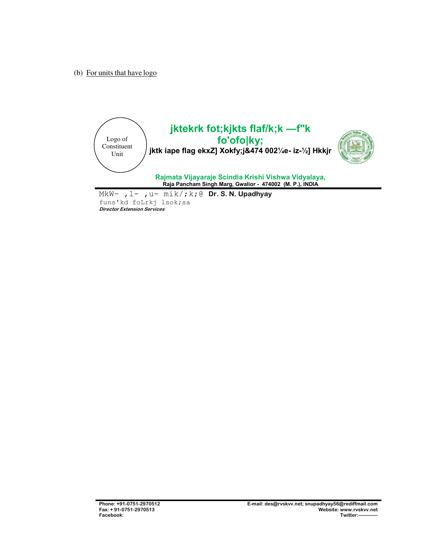(b) For units that have logo



funs'kd foLrkj lsok;sa **Director Extension Services**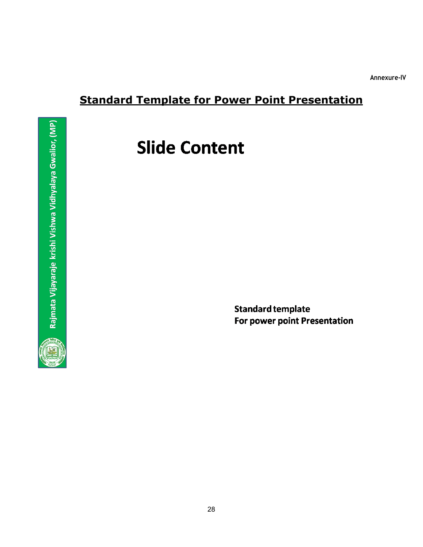**Annexure-IV**

# **Standard Template for Power Point Presentation**

# **Slide Content**

**Standard template** For power point Presentation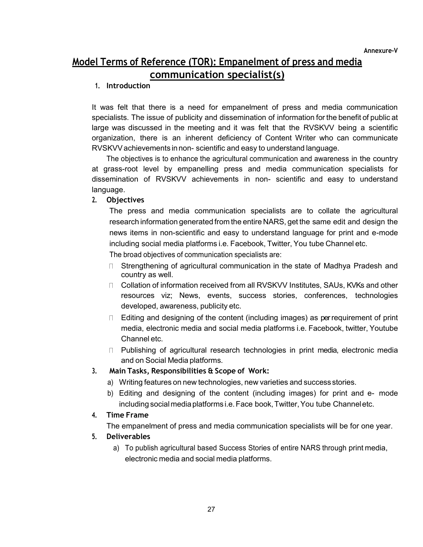**Annexure-V**

# **Model Terms of Reference (TOR): Empanelment of press and media communication specialist(s)**

#### **1. Introduction**

It was felt that there is a need for empanelment of press and media communication specialists. The issue of publicity and dissemination of information for the benefit of public at large was discussed in the meeting and it was felt that the RVSKVV being a scientific organization, there is an inherent deficiency of Content Writer who can communicate RVSKVV achievements in non- scientific and easy to understand language.

The objectives is to enhance the agricultural communication and awareness in the country at grass-root level by empanelling press and media communication specialists for dissemination of RVSKVV achievements in non- scientific and easy to understand language.

#### **2. Objectives**

The press and media communication specialists are to collate the agricultural research information generated from the entire NARS, get the same edit and design the news items in non-scientific and easy to understand language for print and e-mode including social media platforms i.e. Facebook, Twitter, You tube Channel etc.

The broad objectives of communication specialists are:

- □ Strengthening of agricultural communication in the state of Madhya Pradesh and country as well.
- □ Collation of information received from all RVSKVV Institutes, SAUs, KVKs and other resources viz; News, events, success stories, conferences, technologies developed, awareness, publicity etc.
- $\Box$  Editing and designing of the content (including images) as per requirement of print media, electronic media and social media platforms i.e. Facebook, twitter, Youtube Channel etc.
- □ Publishing of agricultural research technologies in print media, electronic media and on Social Media platforms.

#### **3. Main Tasks, Responsibilities & Scope of Work:**

- a) Writing features on new technologies, new varieties and success stories.
- b) Editing and designing of the content (including images) for print and e- mode including social media platforms i.e. Face book, Twitter, You tube Channel etc.

#### **4. Time Frame**

The empanelment of press and media communication specialists will be for one year.

#### **5. Deliverables**

a) To publish agricultural based Success Stories of entire NARS through print media, electronic media and social media platforms.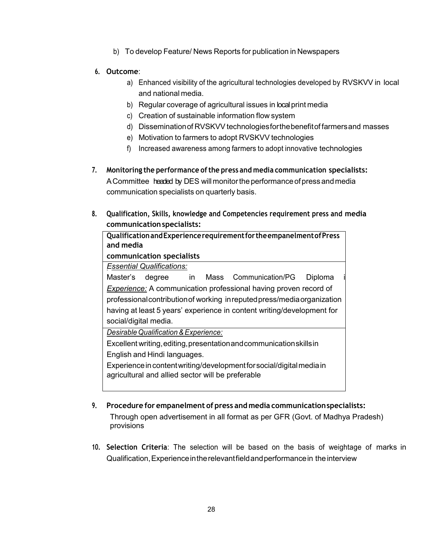b) To develop Feature/ News Reports for publication in Newspapers

#### **6. Outcome**:

- a) Enhanced visibility of the agricultural technologies developed by RVSKVV in local and national media.
- b) Regular coverage of agricultural issues in local print media
- c) Creation of sustainable information flow system
- d) Dissemination of RVSKVV technologies for the benefit of farmers and masses
- e) Motivation to farmers to adopt RVSKVV technologies
- f) Increased awareness among farmers to adopt innovative technologies
- **7. Monitoring the performance of the press and media communication specialists:**  A Committee headed by DES will monitor the performance of press and media communication specialists on quarterly basis.
- **8. Qualification, Skills, knowledge and Competencies requirement press and media communication specialists:**

**Qualification and Experience requirement for the empanelment of Press and media communication specialists**  *E ssential Qualifications:*  Master's degree in Mass Communication/PG Diploma **Experience:** A communication professional having proven record of professional contribution of working in reputed press/media organization having at least 5 years' experience in content writing/development for social/digital media. *Desirable Qualification & Experience:* Excellent writing, editing, presentation and communication skills in English and Hindi languages. Experience in content writing/development for social/digital media in agricultural and allied sector will be preferable

**9. Procedure for empanelment of press and media communication specialists:**  Through open advertisement in all format as per GFR (Govt. of Madhya Pradesh)

provisions

**10. Selection Criteria**: The selection will be based on the basis of weightage of marks in Qualification, Experience in the relevant field and performance in the interview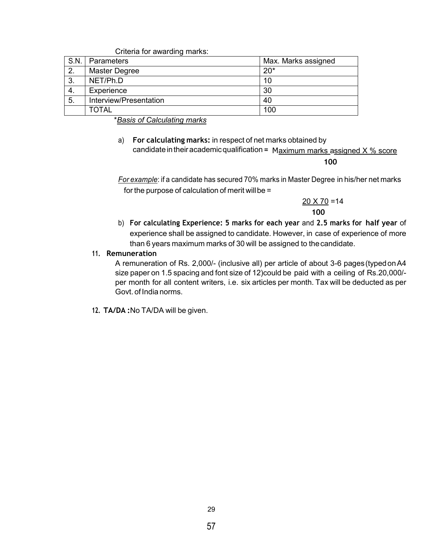|    | Criteria for awarding marks: |                     |
|----|------------------------------|---------------------|
|    | S.N.   Parameters            | Max. Marks assigned |
| 2. | <b>Master Degree</b>         | $20*$               |
| 3. | NET/Ph.D                     | 10                  |
| 4. | Experience                   | 30                  |
| 5. | Interview/Presentation       | 40                  |
|    | <b>TOTAL</b>                 | 100                 |

\**Basis of Calculating marks* 

a) **For calculating marks:** in respect of net marks obtained by candidate in their academic qualification = Maximum marks assigned X % score

**100**

*For example*: if a candidate has secured 70% marks in Master Degree in his/her net marks for the purpose of calculation of merit will be =

> $20 \times 70 = 14$  **100**

b) **For calculating Experience: 5 marks for each year** and **2.5 marks for half year** of experience shall be assigned to candidate. However, in case of experience of more than 6 years maximum marks of 30 will be assigned to the candidate.

#### **11. Remuneration**

A remuneration of Rs. 2,000/- (inclusive all) per article of about 3-6 pages (typed onA4 size paper on 1.5 spacing and font size of 12)could be paid with a ceiling of Rs.20,000/ per month for all content writers, i.e. six articles per month. Tax will be deducted as per Govt. of India norms.

**12. TA/DA :**No TA/DA will be given.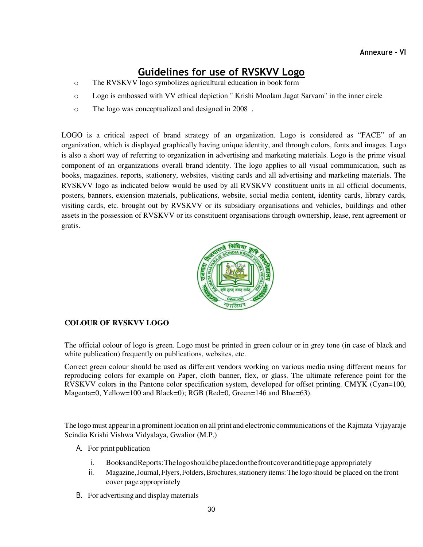# **Guidelines for use of RVSKVV Logo**

- o The RVSKVV logo symbolizes agricultural education in book form
- o Logo is embossed with VV ethical depiction " Krishi Moolam Jagat Sarvam" in the inner circle
- o The logo was conceptualized and designed in 2008 .

LOGO is a critical aspect of brand strategy of an organization. Logo is considered as "FACE" of an organization, which is displayed graphically having unique identity, and through colors, fonts and images. Logo is also a short way of referring to organization in advertising and marketing materials. Logo is the prime visual component of an organizations overall brand identity. The logo applies to all visual communication, such as books, magazines, reports, stationery, websites, visiting cards and all advertising and marketing materials. The RVSKVV logo as indicated below would be used by all RVSKVV constituent units in all official documents, posters, banners, extension materials, publications, website, social media content, identity cards, library cards, visiting cards, etc. brought out by RVSKVV or its subsidiary organisations and vehicles, buildings and other assets in the possession of RVSKVV or its constituent organisations through ownership, lease, rent agreement or gratis.



#### **COLOUR OF RVSKVV LOGO**

The official colour of logo is green. Logo must be printed in green colour or in grey tone (in case of black and white publication) frequently on publications, websites, etc.

Correct green colour should be used as different vendors working on various media using different means for reproducing colors for example on Paper, cloth banner, flex, or glass. The ultimate reference point for the RVSKVV colors in the Pantone color specification system, developed for offset printing. CMYK (Cyan=100, Magenta=0, Yellow=100 and Black=0); RGB (Red=0, Green=146 and Blue=63).

The logo must appear in a prominent location on all print and electronic communications of the Rajmata Vijayaraje Scindia Krishi Vishwa Vidyalaya, Gwalior (M.P.)

- A. For print publication
	- i. Books and Reports: The logo should be placed on the front cover and title page appropriately
	- ii. Magazine, Journal, Flyers, Folders, Brochures, stationery items: The logo should be placed on the front cover page appropriately
- B. For advertising and display materials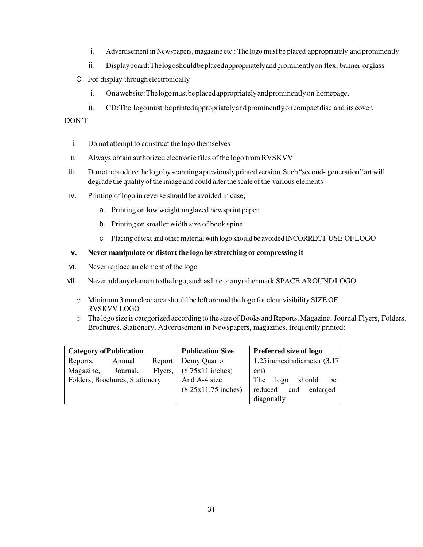- i. Advertisement in Newspapers, magazine etc.: The logo must be placed appropriately and prominently.
- ii. Display board: The logo should be placed appropriately and prominently on flex, banner or glass
- C. For display through electronically
	- i. On a website: The logo must be placed appropriately and prominently on homepage.
	- ii. CD: The logo must be printed appropriately and prominently on compact disc and its cover.

#### DON'T

- i. Do not attempt to construct the logo themselves
- ii. Always obtain authorized electronic files of the logo from RVSKVV
- iii. Do not reproduce the logo by scanning a previously printed version. Such "second- generation" art will degrade the quality of the image and could alter the scale of the various elements
- iv. Printing of logo in reverse should be avoided in case;
	- a. Printing on low weight unglazed newsprint paper
	- b. Printing on smaller width size of book spine
	- c. Placing of text and other material with logo should be avoided INCORRECT USE OF LOGO

#### **v. Never manipulate or distort the logo by stretching or compressing it**

- vi. Never replace an element of the logo
- vii. Never add any element to the logo, such as line or any other mark SPACE AROUND LOGO
	- o Minimum 3 mm clear area should be left around the logo for clear visibility SIZE OF RVSKVV LOGO
	- o The logo size is categorized according to the size of Books and Reports, Magazine, Journal Flyers, Folders, Brochures, Stationery, Advertisement in Newspapers, magazines, frequently printed:

| <b>Category of Publication</b> |          |              | <b>Publication Size</b>     | <b>Preferred size of logo</b>    |  |
|--------------------------------|----------|--------------|-----------------------------|----------------------------------|--|
| Reports,                       | Annual   |              | Report   Demy Quarto        | 1.25 inches in diameter $(3.17)$ |  |
| Magazine,                      | Journal, |              | Flyers, $(8.75x11$ inches)  | cm)                              |  |
| Folders, Brochures, Stationery |          | And A-4 size | logo<br>The<br>should<br>he |                                  |  |
|                                |          |              | $(8.25x11.75$ inches)       | reduced and<br>enlarged          |  |
|                                |          |              |                             | diagonally                       |  |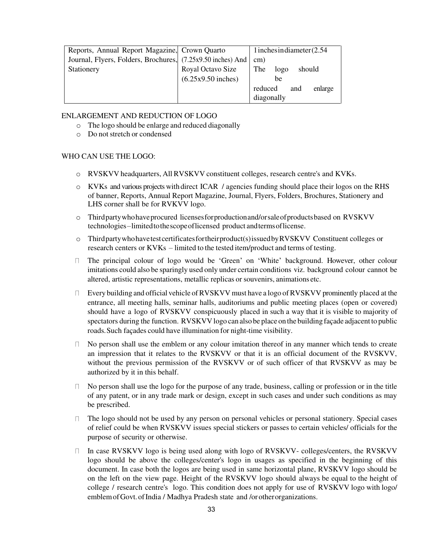| Reports, Annual Report Magazine, Crown Quarto               |                      | 1 inches in diameter $(2.54)$ |  |
|-------------------------------------------------------------|----------------------|-------------------------------|--|
| Journal, Flyers, Folders, Brochures, (7.25x9.50 inches) And |                      | cm)                           |  |
| Stationery                                                  | Royal Octavo Size    | The<br>logo<br>should         |  |
|                                                             | $(6.25x9.50$ inches) | be                            |  |
|                                                             |                      | enlarge<br>reduced<br>and     |  |
|                                                             |                      | diagonally                    |  |

#### ENLARGEMENT AND REDUCTION OF LOGO

- o The logo should be enlarge and reduced diagonally
- o Do not stretch or condensed

#### WHO CAN USE THE LOGO:

- o RVSKVV headquarters, All RVSKVV constituent colleges, research centre's and KVKs.
- o KVKs and various projects with direct ICAR / agencies funding should place their logos on the RHS of banner, Reports, Annual Report Magazine, Journal, Flyers, Folders, Brochures, Stationery and LHS corner shall be for RVKVV logo.
- o Third party who have procured licenses for production and/or sale of products based on RVSKVV technologies – limited to the scope of licensed product and terms of license.
- o Third party who have test certificates for their product(s) issued by RVSKVV Constituent colleges or research centers or KVKs – limited to the tested item/product and terms of testing.
- The principal colour of logo would be 'Green' on 'White' background. However, other colour imitations could also be sparingly used only under certain conditions viz. background colour cannot be altered, artistic representations, metallic replicas or souvenirs, animations etc.
- $\Box$  Every building and official vehicle of RVSKVV must have a logo of RVSKVV prominently placed at the entrance, all meeting halls, seminar halls, auditoriums and public meeting places (open or covered) should have a logo of RVSKVV conspicuously placed in such a way that it is visible to majority of spectators during the function. RVSKVV logo can also be place on the building façade adjacent to public roads. Such façades could have illumination for night-time visibility.
- $\Box$  No person shall use the emblem or any colour imitation thereof in any manner which tends to create an impression that it relates to the RVSKVV or that it is an official document of the RVSKVV, without the previous permission of the RVSKVV or of such officer of that RVSKVV as may be authorized by it in this behalf.
- $\nabla$  No person shall use the logo for the purpose of any trade, business, calling or profession or in the title of any patent, or in any trade mark or design, except in such cases and under such conditions as may be prescribed.
- $\Box$  The logo should not be used by any person on personal vehicles or personal stationery. Special cases of relief could be when RVSKVV issues special stickers or passes to certain vehicles/ officials for the purpose of security or otherwise.
- $\Box$  In case RVSKVV logo is being used along with logo of RVSKVV- colleges/centers, the RVSKVV logo should be above the colleges/center's logo in usages as specified in the beginning of this document. In case both the logos are being used in same horizontal plane, RVSKVV logo should be on the left on the view page. Height of the RVSKVV logo should always be equal to the height of college / research centre's logo. This condition does not apply for use of RVSKVV logo with logo/ emblem of Govt. of India / Madhya Pradesh state and /or other organizations.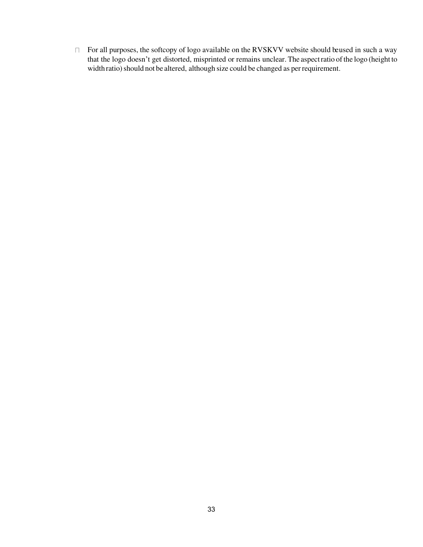$\Box$  For all purposes, the softcopy of logo available on the RVSKVV website should be used in such a way that the logo doesn't get distorted, misprinted or remains unclear. The aspect ratio of the logo (height to width ratio) should not be altered, although size could be changed as per requirement.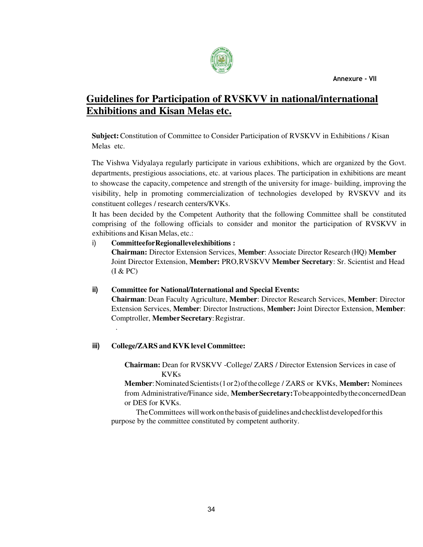

# **Guidelines for Participation of RVSKVV in national/international Exhibitions and Kisan Melas etc.**

**Subject:** Constitution of Committee to Consider Participation of RVSKVV in Exhibitions / Kisan Melas etc.

The Vishwa Vidyalaya regularly participate in various exhibitions, which are organized by the Govt. departments, prestigious associations, etc. at various places. The participation in exhibitions are meant to showcase the capacity, competence and strength of the university for image- building, improving the visibility, help in promoting commercialization of technologies developed by RVSKVV and its constituent colleges / research centers/KVKs.

It has been decided by the Competent Authority that the following Committee shall be constituted comprising of the following officials to consider and monitor the participation of RVSKVV in exhibitions and Kisan Melas, etc.:

## i) **Committee for Regional level exhibitions : Chairman:** Director Extension Services, **Member**: Associate Director Research (HQ) **Member** Joint Director Extension, **Member:** PRO, RVSKVV **Member Secretary**: Sr. Scientist and Head (I & PC)

#### **ii) Committee for National/International and Special Events:**

**Chairman**: Dean Faculty Agriculture, **Member**: Director Research Services, **Member**: Director Extension Services, **Member**: Director Instructions, **Member:** Joint Director Extension, **Member**: Comptroller, **Member Secretary**: Registrar.

#### **iii) College/ZARS and KVK level Committee:**

.

**Chairman:** Dean for RVSKVV -College/ ZARS / Director Extension Services in case of KVKs

**Member**: Nominated Scientists (1 or 2) of the college / ZARS or KVKs, **Member:** Nominees from Administrative/Finance side, **Member Secretary:**To be appointed by the concerned Dean or DES for KVKs.

The Committees will work on the basis of guidelines and checklist developed for this purpose by the committee constituted by competent authority.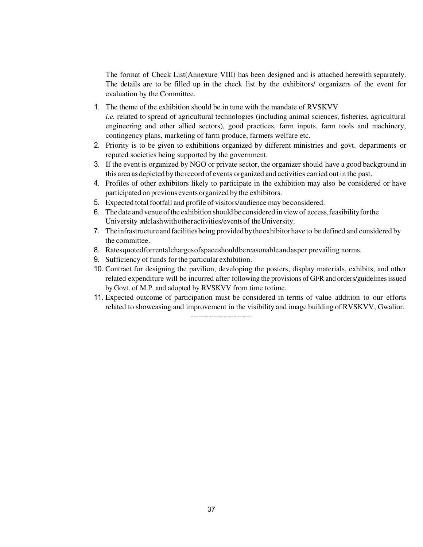The format of Check List(Annexure VIII) has been designed and is attached herewith separately. The details are to be filled up in the check list by the exhibitors/ organizers of the event for evaluation by the Committee.

- 1. The theme of the exhibition should be in tune with the mandate of RVSKVV *i.e.* related to spread of agricultural technologies (including animal sciences, fisheries, agricultural engineering and other allied sectors), good practices, farm inputs, farm tools and machinery, contingency plans, marketing of farm produce, farmers welfare etc.
- 2. Priority is to be given to exhibitions organized by different ministries and govt. departments or reputed societies being supported by the government.
- 3. If the event is organized by NGO or private sector, the organizer should have a good background in this area as depicted by the record of events organized and activities carried out in the past.
- 4. Profiles of other exhibitors likely to participate in the exhibition may also be considered or have participated on previous events organized by the exhibitors.
- 5. Expected total footfall and profile of visitors/audience may be considered.
- 6. The date and venue of the exhibition should be considered in view of access, feasibility for the University and clash with other activities/events of the University.
- 7. The infrastructure and facilities being provided by the exhibitor have to be defined and considered by the committee.
- 8. Rates quoted for rental charges of space should be reasonable and as per prevailing norms.
- 9. Sufficiency of funds for the particular exhibition.
- 10. Contract for designing the pavilion, developing the posters, display materials, exhibits, and other related expenditure will be incurred after following the provisions of GFR and orders/guidelines issued by Govt. of M.P. and adopted by RVSKVV from time to time.
- 11. Expected outcome of participation must be considered in terms of value addition to our efforts related to showcasing and improvement in the visibility and image building of RVSKVV, Gwalior.

------------------------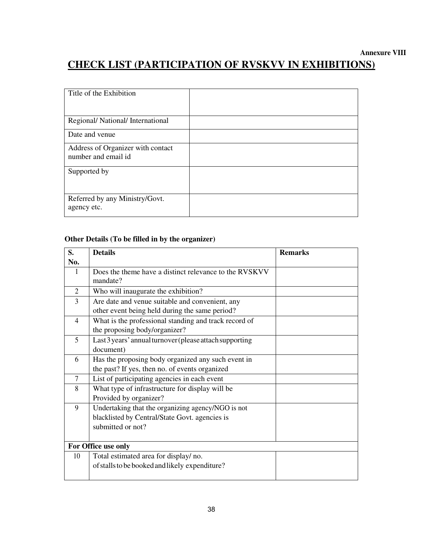## **Annexure VIII CHECK LIST (PARTICIPATION OF RVSKVV IN EXHIBITIONS)**

| Title of the Exhibition                                  |  |
|----------------------------------------------------------|--|
| Regional/ National/ International                        |  |
| Date and venue                                           |  |
| Address of Organizer with contact<br>number and email id |  |
| Supported by                                             |  |
| Referred by any Ministry/Govt.<br>agency etc.            |  |

#### **Other Details (To be filled in by the organizer)**

| S.             | <b>Details</b>                                          | <b>Remarks</b> |  |
|----------------|---------------------------------------------------------|----------------|--|
| No.            |                                                         |                |  |
| 1              | Does the theme have a distinct relevance to the RVSKVV  |                |  |
|                | mandate?                                                |                |  |
| $\overline{2}$ | Who will inaugurate the exhibition?                     |                |  |
| 3              | Are date and venue suitable and convenient, any         |                |  |
|                | other event being held during the same period?          |                |  |
| $\overline{4}$ | What is the professional standing and track record of   |                |  |
|                | the proposing body/organizer?                           |                |  |
| 5              | Last 3 years' annual turnover (please attach supporting |                |  |
|                | document)                                               |                |  |
| 6              | Has the proposing body organized any such event in      |                |  |
|                | the past? If yes, then no. of events organized          |                |  |
| $\overline{7}$ | List of participating agencies in each event            |                |  |
| 8              | What type of infrastructure for display will be         |                |  |
|                | Provided by organizer?                                  |                |  |
| 9              | Undertaking that the organizing agency/NGO is not       |                |  |
|                | blacklisted by Central/State Govt. agencies is          |                |  |
|                | submitted or not?                                       |                |  |
|                |                                                         |                |  |
|                | For Office use only                                     |                |  |
| 10             | Total estimated area for display/no.                    |                |  |
|                | of stalls to be booked and likely expenditure?          |                |  |
|                |                                                         |                |  |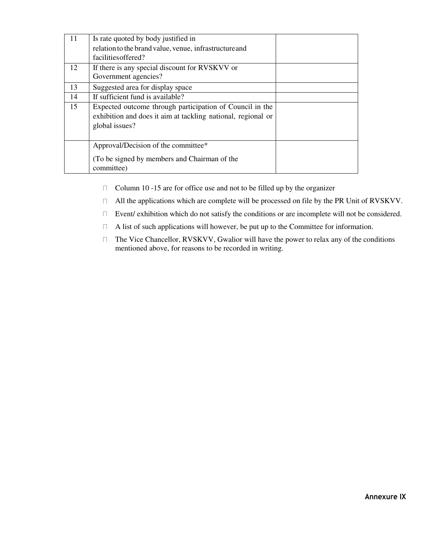| 11 | Is rate quoted by body justified in                          |  |
|----|--------------------------------------------------------------|--|
|    | relation to the brand value, venue, infrastructure and       |  |
|    | facilities offered?                                          |  |
| 12 | If there is any special discount for RVSKVV or               |  |
|    | Government agencies?                                         |  |
| 13 | Suggested area for display space                             |  |
| 14 | If sufficient fund is available?                             |  |
| 15 | Expected outcome through participation of Council in the     |  |
|    | exhibition and does it aim at tackling national, regional or |  |
|    | global issues?                                               |  |
|    |                                                              |  |
|    | Approval/Decision of the committee*                          |  |
|    | (To be signed by members and Chairman of the                 |  |
|    | committee)                                                   |  |

- Column 10 -15 are for office use and not to be filled up by the organizer  $\Box$
- $\Box$ All the applications which are complete will be processed on file by the PR Unit of RVSKVV.
- $\Box$ Event/ exhibition which do not satisfy the conditions or are incomplete will not be considered.
- A list of such applications will however, be put up to the Committee for information.  $\Box$
- The Vice Chancellor, RVSKVV, Gwalior will have the power to relax any of the conditions  $\Box$ mentioned above, for reasons to be recorded in writing.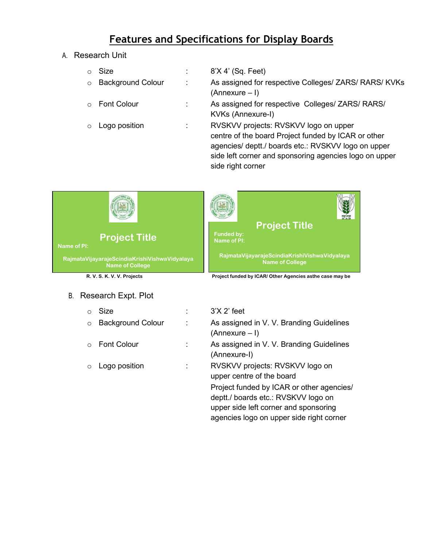# **Features and Specifications for Display Boards**

A. Research Unit

| $\circ$ | Size                     |   | 8'X 4' (Sq. Feet)                                                                                                                                                                                                                  |
|---------|--------------------------|---|------------------------------------------------------------------------------------------------------------------------------------------------------------------------------------------------------------------------------------|
| $\circ$ | <b>Background Colour</b> | ÷ | As assigned for respective Colleges/ ZARS/ RARS/ KVKs<br>(Annexure – I)                                                                                                                                                            |
| $\cap$  | <b>Font Colour</b>       |   | As assigned for respective Colleges/ ZARS/ RARS/<br>KVKs (Annexure-I)                                                                                                                                                              |
| $\circ$ | Logo position            | ٠ | RVSKVV projects: RVSKVV logo on upper<br>centre of the board Project funded by ICAR or other<br>agencies/ deptt./ boards etc.: RVSKVV logo on upper<br>side left corner and sponsoring agencies logo on upper<br>side right corner |



#### B. Research Expt. Plot

|         | Size                     |  |
|---------|--------------------------|--|
| $\circ$ | <b>Background Colour</b> |  |
|         |                          |  |
|         | $\circ$ Font Colour      |  |
|         |                          |  |
|         | o Logo position          |  |
|         |                          |  |
|         |                          |  |

## $3'X$   $2'$  feet As assigned in V. V. Branding Guidelines (Annexure – I) As assigned in V. V. Branding Guidelines (Annexure-I) RVSKVV projects: RVSKVV logo on upper centre of the board Project funded by ICAR or other agencies/ deptt./ boards etc.: RVSKVV logo on upper side left corner and sponsoring agencies logo on upper side right corner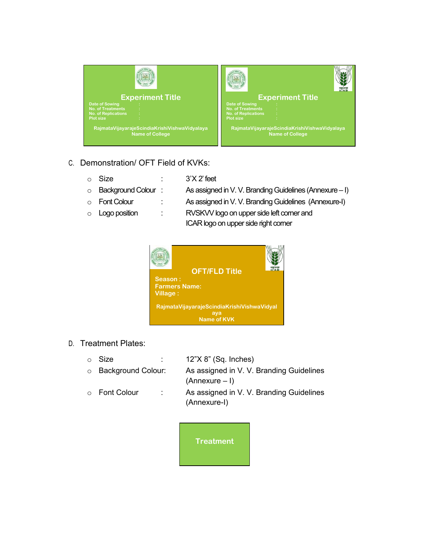

- C. Demonstration/ OFT Field of KVKs:
	-
	- $\circ$  Size :  $3'X2'$  feet
	- o Background Colour : As assigned in V. V. Branding Guidelines (Annexure I)
	-
	-
	- o Font Colour : As assigned in V. V. Branding Guidelines (Annexure-I)
	- o Logo position : RVSKVV logo on upper side left corner and ICAR logo on upper side right corner



- D. Treatment Plates:
	- o Size : 12"X 8" (Sq. Inches)
	- o Background Colour: As assigned in V. V. Branding Guidelines (Annexure – I)
	- o Font Colour : As assigned in V. V. Branding Guidelines (Annexure-I)

**Treatment**